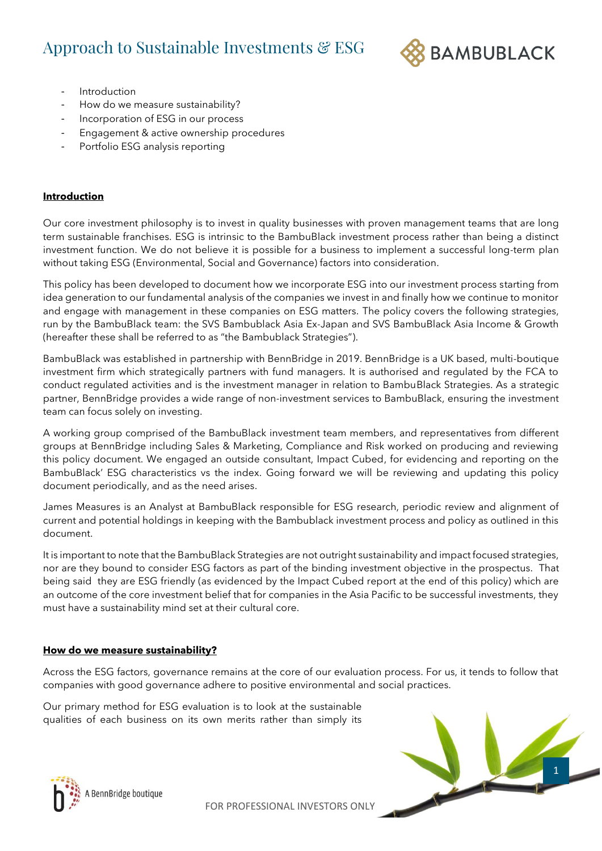# Approach to Sustainable Investments & ESG



- **Introduction**
- How do we measure sustainability?
- Incorporation of ESG in our process
- Engagement & active ownership procedures
- Portfolio ESG analysis reporting

# **Introduction**

Our core investment philosophy is to invest in quality businesses with proven management teams that are long term sustainable franchises. ESG is intrinsic to the BambuBlack investment process rather than being a distinct investment function. We do not believe it is possible for a business to implement a successful long-term plan without taking ESG (Environmental, Social and Governance) factors into consideration.

This policy has been developed to document how we incorporate ESG into our investment process starting from idea generation to our fundamental analysis of the companies we invest in and finally how we continue to monitor and engage with management in these companies on ESG matters. The policy covers the following strategies, run by the BambuBlack team: the SVS Bambublack Asia Ex-Japan and SVS BambuBlack Asia Income & Growth (hereafter these shall be referred to as "the Bambublack Strategies").

BambuBlack was established in partnership with BennBridge in 2019. BennBridge is a UK based, multi-boutique investment firm which strategically partners with fund managers. It is authorised and regulated by the FCA to conduct regulated activities and is the investment manager in relation to BambuBlack Strategies. As a strategic partner, BennBridge provides a wide range of non-investment services to BambuBlack, ensuring the investment team can focus solely on investing.

A working group comprised of the BambuBlack investment team members, and representatives from different groups at BennBridge including Sales & Marketing, Compliance and Risk worked on producing and reviewing this policy document. We engaged an outside consultant, Impact Cubed, for evidencing and reporting on the BambuBlack' ESG characteristics vs the index. Going forward we will be reviewing and updating this policy document periodically, and as the need arises.

James Measures is an Analyst at BambuBlack responsible for ESG research, periodic review and alignment of current and potential holdings in keeping with the Bambublack investment process and policy as outlined in this document.

It is important to note that the BambuBlack Strategies are not outright sustainability and impact focused strategies, nor are they bound to consider ESG factors as part of the binding investment objective in the prospectus. That being said they are ESG friendly (as evidenced by the Impact Cubed report at the end of this policy) which are an outcome of the core investment belief that for companies in the Asia Pacific to be successful investments, they must have a sustainability mind set at their cultural core.

# **How do we measure sustainability?**

Across the ESG factors, governance remains at the core of our evaluation process. For us, it tends to follow that companies with good governance adhere to positive environmental and social practices.

FOR PROFESSIONAL INVESTORS ONLY

Our primary method for ESG evaluation is to look at the sustainable qualities of each business on its own merits rather than simply its



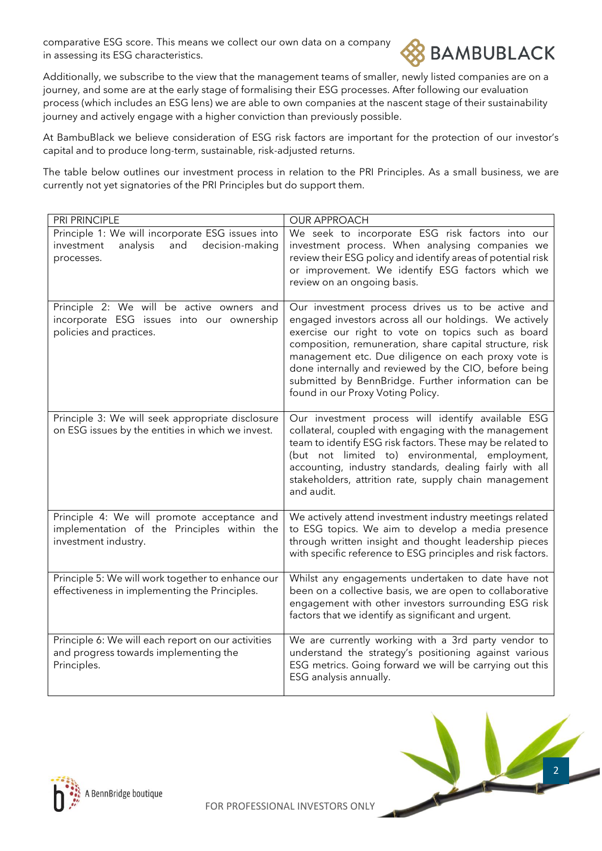comparative ESG score. This means we collect our own data on a company in assessing its ESG characteristics.



Additionally, we subscribe to the view that the management teams of smaller, newly listed companies are on a journey, and some are at the early stage of formalising their ESG processes. After following our evaluation process (which includes an ESG lens) we are able to own companies at the nascent stage of their sustainability journey and actively engage with a higher conviction than previously possible.

At BambuBlack we believe consideration of ESG risk factors are important for the protection of our investor's capital and to produce long-term, sustainable, risk-adjusted returns.

The table below outlines our investment process in relation to the PRI Principles. As a small business, we are currently not yet signatories of the PRI Principles but do support them.

| PRI PRINCIPLE                                                                                                      | <b>OUR APPROACH</b>                                                                                                                                                                                                                                                                                                                                                                                                                       |
|--------------------------------------------------------------------------------------------------------------------|-------------------------------------------------------------------------------------------------------------------------------------------------------------------------------------------------------------------------------------------------------------------------------------------------------------------------------------------------------------------------------------------------------------------------------------------|
| Principle 1: We will incorporate ESG issues into<br>and<br>decision-making<br>analysis<br>investment<br>processes. | We seek to incorporate ESG risk factors into our<br>investment process. When analysing companies we<br>review their ESG policy and identify areas of potential risk<br>or improvement. We identify ESG factors which we<br>review on an ongoing basis.                                                                                                                                                                                    |
| Principle 2: We will be active owners and<br>incorporate ESG issues into our ownership<br>policies and practices.  | Our investment process drives us to be active and<br>engaged investors across all our holdings. We actively<br>exercise our right to vote on topics such as board<br>composition, remuneration, share capital structure, risk<br>management etc. Due diligence on each proxy vote is<br>done internally and reviewed by the CIO, before being<br>submitted by BennBridge. Further information can be<br>found in our Proxy Voting Policy. |
| Principle 3: We will seek appropriate disclosure<br>on ESG issues by the entities in which we invest.              | Our investment process will identify available ESG<br>collateral, coupled with engaging with the management<br>team to identify ESG risk factors. These may be related to<br>(but not limited to) environmental, employment,<br>accounting, industry standards, dealing fairly with all<br>stakeholders, attrition rate, supply chain management<br>and audit.                                                                            |
| Principle 4: We will promote acceptance and<br>implementation of the Principles within the<br>investment industry. | We actively attend investment industry meetings related<br>to ESG topics. We aim to develop a media presence<br>through written insight and thought leadership pieces<br>with specific reference to ESG principles and risk factors.                                                                                                                                                                                                      |
| Principle 5: We will work together to enhance our<br>effectiveness in implementing the Principles.                 | Whilst any engagements undertaken to date have not<br>been on a collective basis, we are open to collaborative<br>engagement with other investors surrounding ESG risk<br>factors that we identify as significant and urgent.                                                                                                                                                                                                             |
| Principle 6: We will each report on our activities<br>and progress towards implementing the<br>Principles.         | We are currently working with a 3rd party vendor to<br>understand the strategy's positioning against various<br>ESG metrics. Going forward we will be carrying out this<br>ESG analysis annually.                                                                                                                                                                                                                                         |



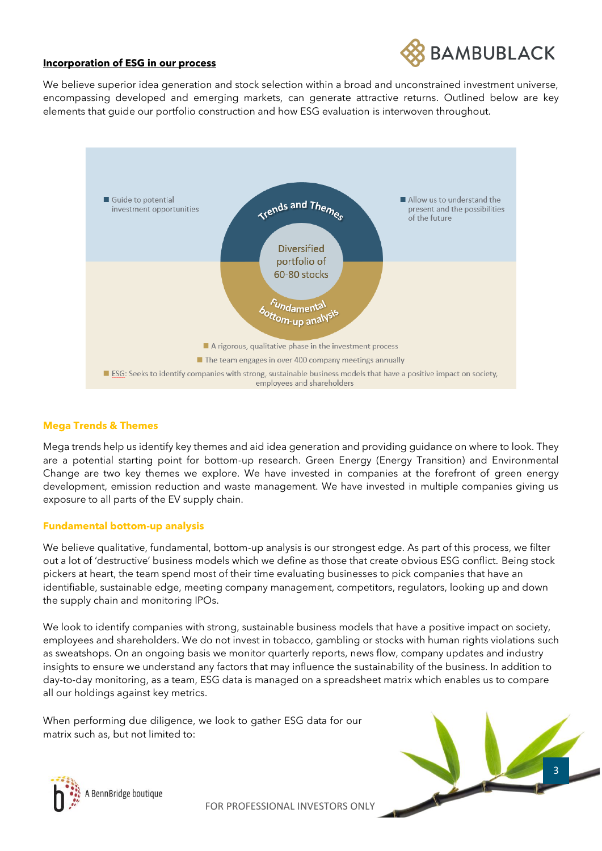

#### **Incorporation of ESG in our process**

We believe superior idea generation and stock selection within a broad and unconstrained investment universe, encompassing developed and emerging markets, can generate attractive returns. Outlined below are key elements that guide our portfolio construction and how ESG evaluation is interwoven throughout.



#### **Mega Trends & Themes**

Mega trends help us identify key themes and aid idea generation and providing guidance on where to look. They are a potential starting point for bottom-up research. Green Energy (Energy Transition) and Environmental Change are two key themes we explore. We have invested in companies at the forefront of green energy development, emission reduction and waste management. We have invested in multiple companies giving us exposure to all parts of the EV supply chain.

#### **Fundamental bottom-up analysis**

We believe qualitative, fundamental, bottom-up analysis is our strongest edge. As part of this process, we filter out a lot of 'destructive' business models which we define as those that create obvious ESG conflict. Being stock pickers at heart, the team spend most of their time evaluating businesses to pick companies that have an identifiable, sustainable edge, meeting company management, competitors, regulators, looking up and down the supply chain and monitoring IPOs.

We look to identify companies with strong, sustainable business models that have a positive impact on society, employees and shareholders. We do not invest in tobacco, gambling or stocks with human rights violations such as sweatshops. On an ongoing basis we monitor quarterly reports, news flow, company updates and industry insights to ensure we understand any factors that may influence the sustainability of the business. In addition to day-to-day monitoring, as a team, ESG data is managed on a spreadsheet matrix which enables us to compare all our holdings against key metrics.

When performing due diligence, we look to gather ESG data for our matrix such as, but not limited to:



3

FOR PROFESSIONAL INVESTORS ONLY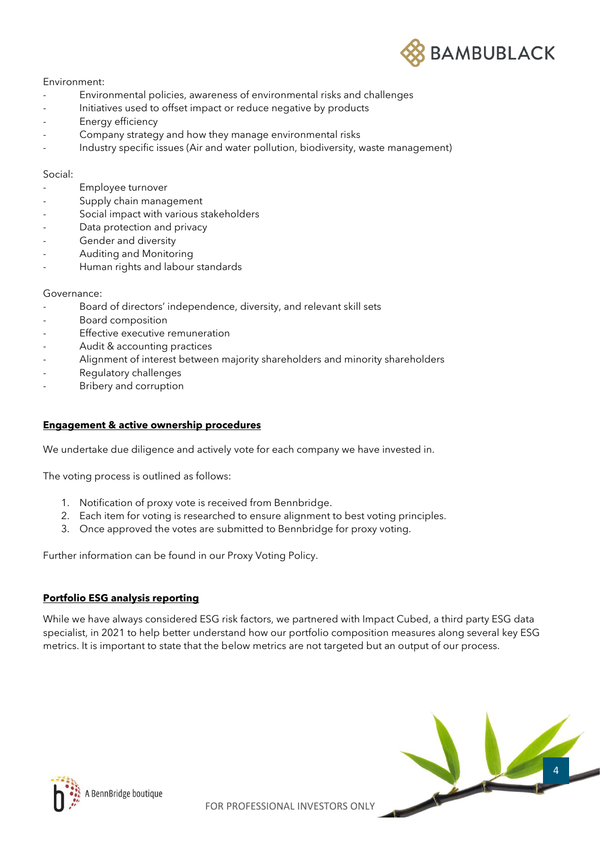

#### Environment:

- Environmental policies, awareness of environmental risks and challenges
- Initiatives used to offset impact or reduce negative by products
- Energy efficiency
- Company strategy and how they manage environmental risks
- Industry specific issues (Air and water pollution, biodiversity, waste management)

#### Social:

- Employee turnover
- Supply chain management
- Social impact with various stakeholders
- Data protection and privacy
- Gender and diversity
- Auditing and Monitoring
- Human rights and labour standards

#### Governance:

- Board of directors' independence, diversity, and relevant skill sets
- Board composition
- Effective executive remuneration
- Audit & accounting practices
- Alignment of interest between majority shareholders and minority shareholders
- Regulatory challenges
- Bribery and corruption

#### **Engagement & active ownership procedures**

We undertake due diligence and actively vote for each company we have invested in.

The voting process is outlined as follows:

- 1. Notification of proxy vote is received from Bennbridge.
- 2. Each item for voting is researched to ensure alignment to best voting principles.
- 3. Once approved the votes are submitted to Bennbridge for proxy voting.

Further information can be found in our Proxy Voting Policy.

# **Portfolio ESG analysis reporting**

While we have always considered ESG risk factors, we partnered with Impact Cubed, a third party ESG data specialist, in 2021 to help better understand how our portfolio composition measures along several key ESG metrics. It is important to state that the below metrics are not targeted but an output of our process.



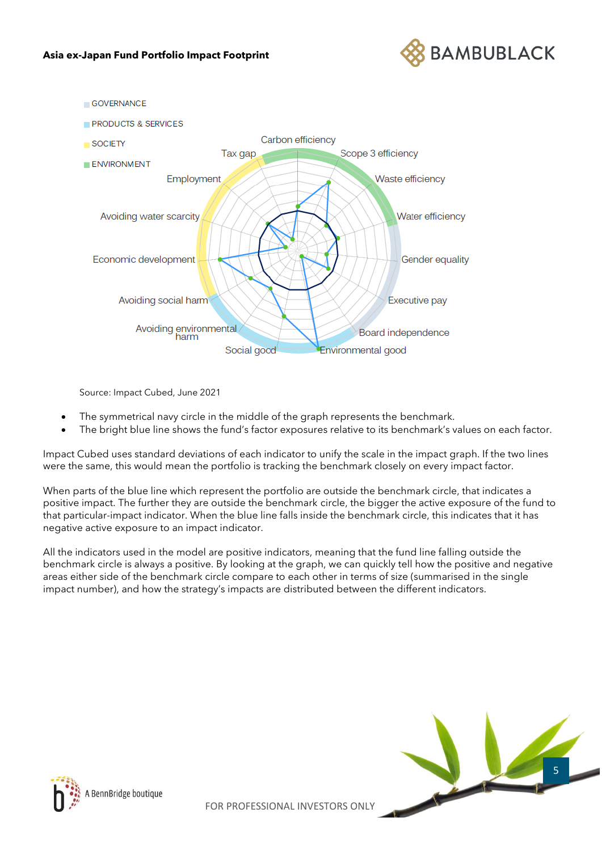



Source: Impact Cubed, June 2021

- The symmetrical navy circle in the middle of the graph represents the benchmark.
- The bright blue line shows the fund's factor exposures relative to its benchmark's values on each factor.

Impact Cubed uses standard deviations of each indicator to unify the scale in the impact graph. If the two lines were the same, this would mean the portfolio is tracking the benchmark closely on every impact factor.

When parts of the blue line which represent the portfolio are outside the benchmark circle, that indicates a positive impact. The further they are outside the benchmark circle, the bigger the active exposure of the fund to that particular-impact indicator. When the blue line falls inside the benchmark circle, this indicates that it has negative active exposure to an impact indicator.

All the indicators used in the model are positive indicators, meaning that the fund line falling outside the benchmark circle is always a positive. By looking at the graph, we can quickly tell how the positive and negative areas either side of the benchmark circle compare to each other in terms of size (summarised in the single impact number), and how the strategy's impacts are distributed between the different indicators.



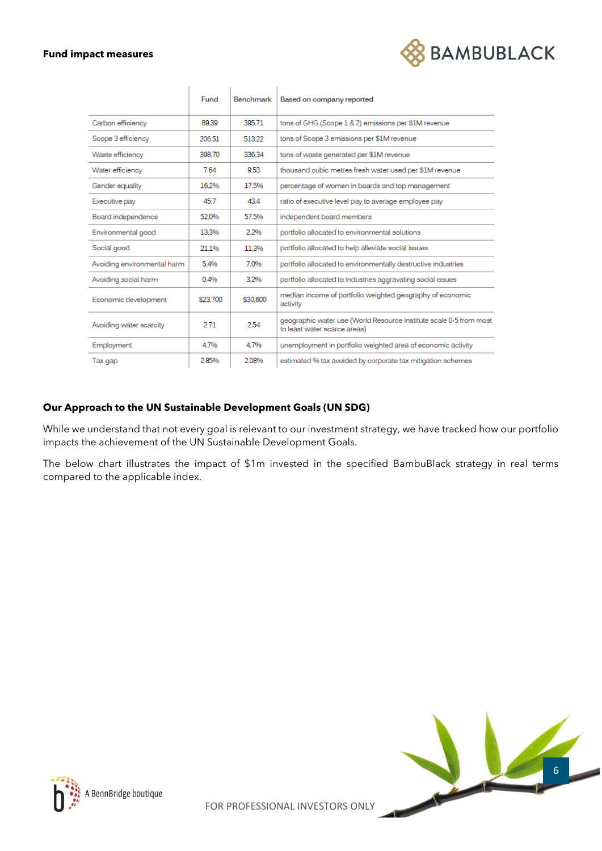#### **Fund impact measures**



|                             | Fund     | <b>Benchmark</b> | Based on company reported                                                                          |
|-----------------------------|----------|------------------|----------------------------------------------------------------------------------------------------|
| Carbon efficiency           | 89.39    | 395.71           | tons of GHG (Scope 1 & 2) emissions per \$1M revenue                                               |
| Scope 3 efficiency          | 206.51   | 513.22           | tons of Scope 3 emissions per \$1M revenue                                                         |
| Waste efficiency            | 398.70   | 336.34           | tons of waste generated per \$1M revenue                                                           |
| Water efficiency            | 7.64     | 9.53             | thousand cubic metres fresh water used per \$1M revenue                                            |
| Gender equality             | 16.2%    | 17.5%            | percentage of women in boards and top management                                                   |
| Executive pay               | 45.7     | 43.4             | ratio of executive level pay to average employee pay                                               |
| Board independence          | 52.0%    | 57.5%            | independent board members                                                                          |
| Environmental good          | 13.3%    | 2.2%             | portfolio allocated to environmental solutions                                                     |
| Social good                 | 21.1%    | 11.3%            | portfolio allocated to help alleviate social issues                                                |
| Avoiding environmental harm | 5.4%     | 7.0%             | portfolio allocated to environmentally destructive industries                                      |
| Avoiding social harm        | 0.4%     | 3.2%             | portfolio allocated to industries aggravating social issues                                        |
| Economic development        | \$23.700 | \$30,600         | median income of portfolio weighted geography of economic<br>activity                              |
| Avoiding water scarcity     | 2.71     | 2.54             | geographic water use (World Resource Institute scale 0-5 from most<br>to least water scarce areas) |
| Employment                  | 4.7%     | 4.7%             | unemployment in portfolio weighted area of economic activity                                       |
| Tax gap                     | 2.85%    | 2.08%            | estimated % tax avoided by corporate tax mitigation schemes                                        |

# **Our Approach to the UN Sustainable Development Goals (UN SDG)**

While we understand that not every goal is relevant to our investment strategy, we have tracked how our portfolio impacts the achievement of the UN Sustainable Development Goals.

The below chart illustrates the impact of \$1m invested in the specified BambuBlack strategy in real terms compared to the applicable index.



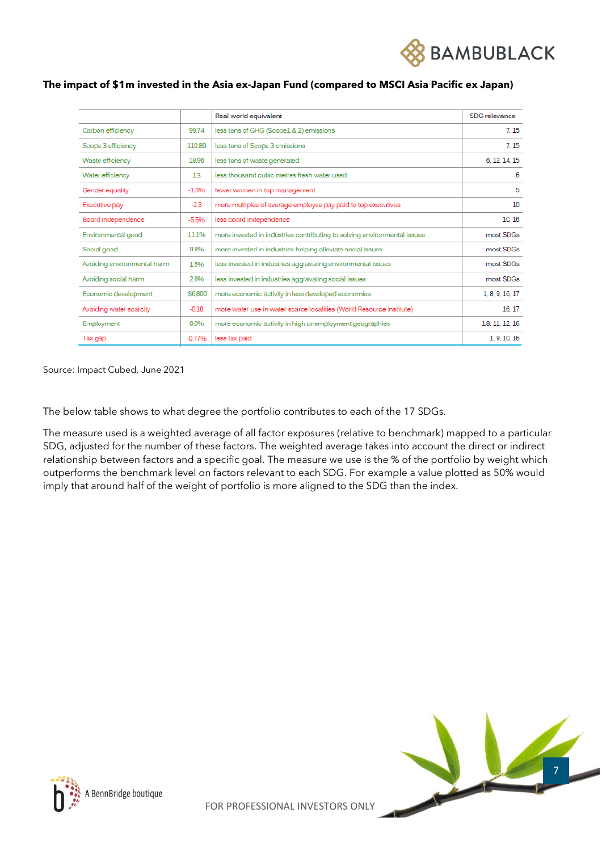

|                             |           | Real world equivalent                                                    | SDG relevance   |
|-----------------------------|-----------|--------------------------------------------------------------------------|-----------------|
| Carbon efficiency           | 99.74     | less tons of GHG (Scope1 & 2) emissions                                  | 7.15            |
| Scope 3 efficiency          | 110.89    | less tons of Scope 3 emissions                                           | 7.15            |
| Waste efficiency            | 18.96     | less tons of waste generated                                             | 6, 12, 14, 15   |
| Water efficiency            | 13        | less thousand cubic metres fresh water used                              | 6               |
| Gender equality             | $-1.396$  | fewer women in top management                                            | 5               |
| Executive pay               | $-2.3$    | more multiples of average employee pay paid to top executives            | 10              |
| Board independence          | $-5.5%$   | less board independence                                                  | 10.16           |
| Environmental good          | 11.1%     | more invested in industries contributing to solving environmental issues | most SDGs       |
| Social good                 | 9.8%      | more invested in industries helping alleviate social issues              | most SDGs       |
| Avoiding environmental harm | 1.6%      | less invested in industries aggravating environmental issues             | most SDGs       |
| Avoiding social harm        | 2.8%      | less invested in industries aggravating social issues                    | most SDGs       |
| Economic development        | \$6,800   | more economic activity in less developed economies                       | 1, 8, 9, 16, 17 |
| Avoiding water scarcity     | $-0.18$   | more water use in water scarce localities (World Resource Institute)     | 16.17           |
| Employment                  | 0.0%      | more economic activity in high unemployment geographies                  | 1.8, 11, 12, 16 |
| Tax gap                     | $-0.7796$ | less tax paid                                                            | 1, 9, 10, 16    |
|                             |           |                                                                          |                 |

#### **The impact of \$1m invested in the Asia ex-Japan Fund (compared to MSCI Asia Pacific ex Japan)**

Source: Impact Cubed, June 2021

The below table shows to what degree the portfolio contributes to each of the 17 SDGs.

The measure used is a weighted average of all factor exposures (relative to benchmark) mapped to a particular SDG, adjusted for the number of these factors. The weighted average takes into account the direct or indirect relationship between factors and a specific goal. The measure we use is the % of the portfolio by weight which outperforms the benchmark level on factors relevant to each SDG. For example a value plotted as 50% would imply that around half of the weight of portfolio is more aligned to the SDG than the index.



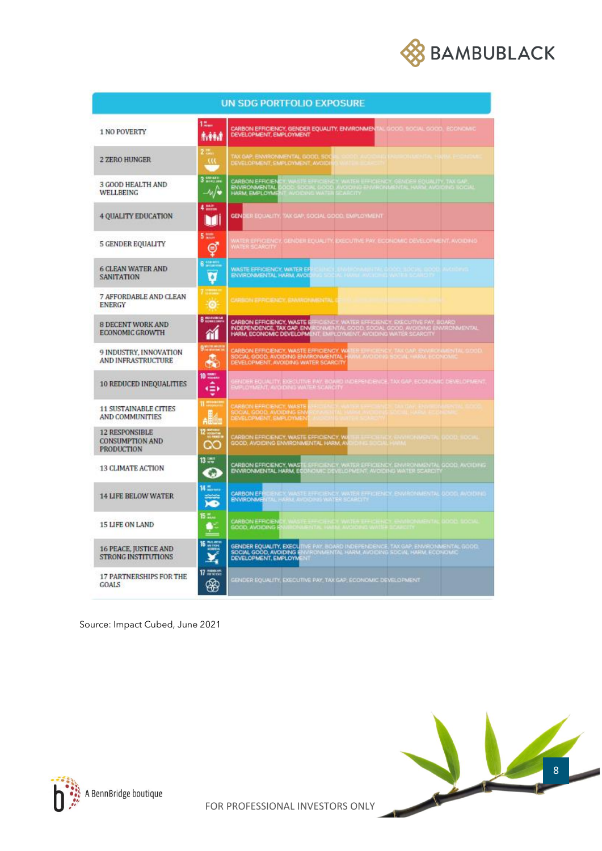

| <b>UN SDG PORTFOLIO EXPOSURE</b>                                     |                            |                                                                                                                                                                                                                                  |  |  |
|----------------------------------------------------------------------|----------------------------|----------------------------------------------------------------------------------------------------------------------------------------------------------------------------------------------------------------------------------|--|--|
| 1 NO POVERTY                                                         | 12<br>电转波                  | CARBON EFFICIENCY, GENDER EQUALITY, ENVIRONMENTAL GOOD, SOCIAL GOOD, ECONOMIC<br>DEVELOPMENT, EMPLOYMENT                                                                                                                         |  |  |
| 2 ZERO HUNGER                                                        | $\mathcal{W}$              | AX GAP, ENVIRONMENTAL GOOD, SOC<br>DEVELOPMENT EMPLOYMENT AVOIDI                                                                                                                                                                 |  |  |
| 3 GOOD HEALTH AND<br>WELLBEING                                       | $3 \frac{100}{20}$<br>-∿/∙ | , WASTE EFFICIENCY, WATER EFFICIENCY, GENDER EQUALITY, TAX GAP.<br>IOO, SOCIAL (1000, AVOIDING ENVIRONMENTAL HARM, AVOIDING SOCIAL)<br>T. AVOIDING WATER SCARCITY<br><b>CARBON EFFICIEN</b><br>ENVIRONMENTAL<br>HARM, EMPLOYME   |  |  |
| 4 QUALITY EDUCATION                                                  | $4 \text{--}$<br>Ш         | GENDER EQUALITY, TAX GAP, SOCIAL GOOD, EMPLOYMENT                                                                                                                                                                                |  |  |
| 5 GENDER EQUALITY                                                    | 5 22.<br>⊜                 | WATER EFFICIENCY, GENOER EQUALITY, EXECUTIVE PAY, ECONOMIC DEVELOPMENT, AVOIDING<br>WATER SCARCITY                                                                                                                               |  |  |
| <b>6 CLEAN WATER AND</b><br><b>SANITATION</b>                        | 6<br>ō                     | icijnich (Mallicevilji 1922.000, abčije 000<br>Na social (War Availing WATER Collicio)<br>weer<br>WASTE EFFICIENCY, WATER ER<br>ENVIRONMENTAL HARM, AVOID                                                                        |  |  |
| 7 AFFORDABLE AND CLEAN<br><b>ENERGY</b>                              | ö                          | CARSON EPPICIENCY, ENVIRONMENTAL CRASH AND RESIDENTIAL CONTRACTOR                                                                                                                                                                |  |  |
| <b>8 DECENT WORK AND</b><br>ECONOMIC GROWTH                          | <b>B</b> monotonical<br>m  | CARBON EFFICIENCY, WASTE EFFICIENCY, WATER EFFICIENCY, EXECUTIVE PAY, BOARD<br>INDEPENDENCE, TAX GAP, ENVIRONMENTAL GOOD, SOCIAL GOOD, AVOIDING ENVIRONMENTAL<br>HARM, ECONOMIC DEVELOPMENT, EMPLOYMENT, AVOIDING WATER SCARCITY |  |  |
| 9 INDUSTRY, INNOVATION<br><b>AND INFRASTRUCTURE</b>                  | 91.000<br>♣                | CARBON EFFICIENCY, WASTE EFFICIENCY, WA<br>SOCIAL GOOD, AVOIDING ENVIRONMENTAL H<br>DEVELOPMENT, AVOIDING WATER SCARCITY<br>ER EFFICIENCY, TAX CAP, ENVIRONMENTAL GOOD<br>IM AVOIDINT SCOVE HARM, ECONOMIC                       |  |  |
| <b>10 REDUCED INEQUALITIES</b>                                       | 10 mm<br>食                 | SENDER EQUALITY, EXÉCUTIVE FAY, BOARD INDEPENDENCE, TAX GAP, ECONOMIC DEVELOPMENT<br>EXPLOYMENT, AVOIDING WATER SCARCITY                                                                                                         |  |  |
| <b>11 SUSTAINABLE CITIES</b><br><b>AND COMMUNITIES</b>               | <b>II</b> month<br>aille   | CARBON EFFICIENCY, WASTE<br>SOCIAL GOOD, AVOIDING ENV<br>DEVELOPMENT, EMPLOYMEN                                                                                                                                                  |  |  |
| <b>12 RESPONSIBLE</b><br><b>CONSUMPTION AND</b><br><b>PRODUCTION</b> | $12 \frac{cm}{cm}$<br>ററ   | CARBON EFFICIENCY, WASTE EFFICIENCY, WA<br>GOOD, AVOIDING ENVIRONMENTAL HARM, AV<br><b>DOOD</b> NOCH<br><b>E SOCIAL HAND PANELS TA</b>                                                                                           |  |  |
| <b>13 CLIMATE ACTION</b>                                             | 13 000<br>o                | <b>CARBON EFFICIENCY, WAS IE</b> EFFICIENCY, WATER EFFICIENCY, ENVIRONMENTAL GOOD, AVOIDING<br><b>ENVIRONMENTAL HARM, ECO</b> NOMIC DEVELOPMENT, AVOIDING WATER SCARDITY                                                         |  |  |
| <b>14 LIFE BELOW WATER</b>                                           | <b>Williams</b>            | ICENEY, WASTE EFFICIENCY, WATER EFFICIENCY, ENVIRONMENTAL (<br>VTAL HARM, AVOIDING WATER SCARCITY<br><b>CARBON EF</b><br>JOCG, AVOIDING<br><b>ENVIRONME</b>                                                                      |  |  |
| 15 LIFE ON LAND                                                      | 15<br>Ģ.                   | CARBON EFFICIEN<br><b>A PARTIES IN THE REPORT OF A PARTIES OF A PARTIES OF A PARTIES OF A PARTIES OF A PARTIES OF A PARTIES OF A PARTIES</b>                                                                                     |  |  |
| <b>16 PEACE, JUSTICE AND</b><br><b>STRONG INSTITUTIONS</b>           | $16 \frac{m}{m}$           | GENDER EQUALITY, EXECUTIVE PAY, BOARD INDEPENDENCE, TAX GAP, ENVIRONMENTAL GOOD.<br>SOCIAL GOOD, AVOIDING ENVIRONMENTAL HARM, AVOIDING SOCIAL HARM, ECONOMIC.<br>DEVELOPMENT, EMPLOYMENT                                         |  |  |
| <b>17 PARTNERSHIPS FOR THE</b><br>GOALS                              | $\eta$ and<br>❀            | SENDER EQUALITY, EXECUTIVE PAY, TAX GAP, ECONOMIC DEVELOPMENT                                                                                                                                                                    |  |  |

Source: Impact Cubed, June 2021





FOR PROFESSIONAL INVESTORS ONLY